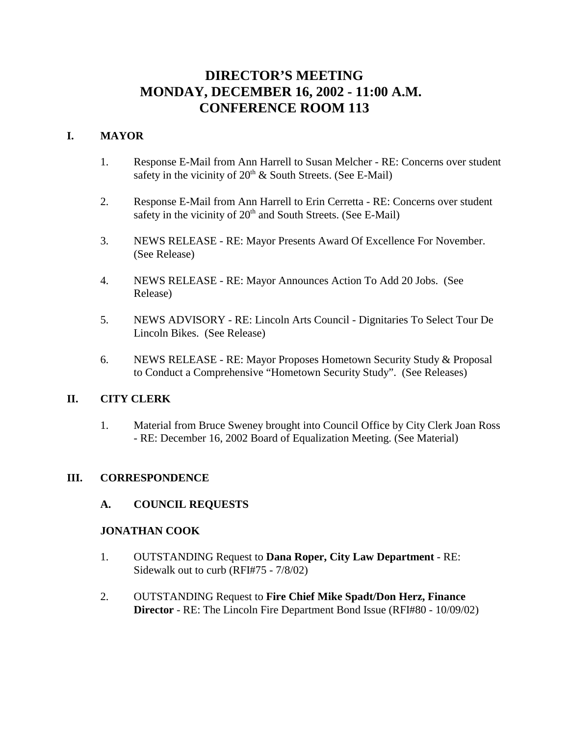# **DIRECTOR'S MEETING MONDAY, DECEMBER 16, 2002 - 11:00 A.M. CONFERENCE ROOM 113**

# **I. MAYOR**

- 1. Response E-Mail from Ann Harrell to Susan Melcher RE: Concerns over student safety in the vicinity of  $20<sup>th</sup>$  & South Streets. (See E-Mail)
- 2. Response E-Mail from Ann Harrell to Erin Cerretta RE: Concerns over student safety in the vicinity of  $20<sup>th</sup>$  and South Streets. (See E-Mail)
- 3. NEWS RELEASE RE: Mayor Presents Award Of Excellence For November. (See Release)
- 4. NEWS RELEASE RE: Mayor Announces Action To Add 20 Jobs. (See Release)
- 5. NEWS ADVISORY RE: Lincoln Arts Council Dignitaries To Select Tour De Lincoln Bikes. (See Release)
- 6. NEWS RELEASE RE: Mayor Proposes Hometown Security Study & Proposal to Conduct a Comprehensive "Hometown Security Study". (See Releases)

# **II. CITY CLERK**

1. Material from Bruce Sweney brought into Council Office by City Clerk Joan Ross - RE: December 16, 2002 Board of Equalization Meeting. (See Material)

# **III. CORRESPONDENCE**

**A. COUNCIL REQUESTS**

#### **JONATHAN COOK**

- 1. OUTSTANDING Request to **Dana Roper, City Law Department** RE: Sidewalk out to curb (RFI#75 - 7/8/02)
- 2. OUTSTANDING Request to **Fire Chief Mike Spadt/Don Herz, Finance Director** - RE: The Lincoln Fire Department Bond Issue (RFI#80 - 10/09/02)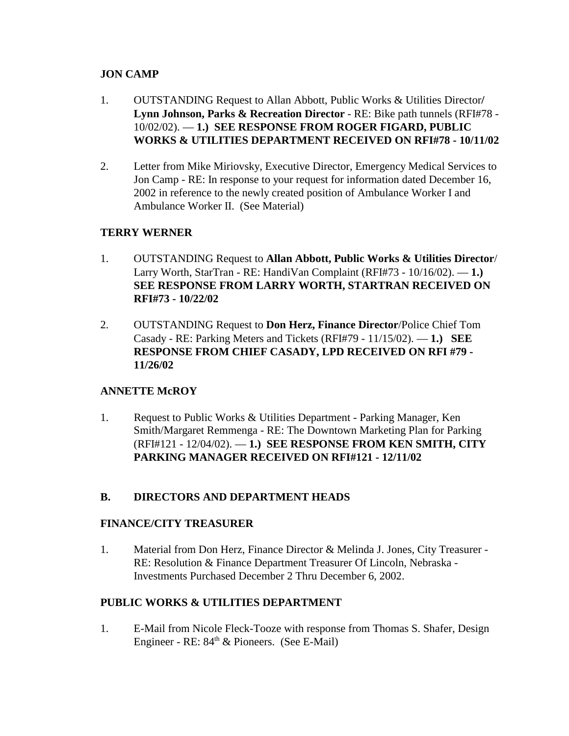# **JON CAMP**

- 1. OUTSTANDING Request to Allan Abbott, Public Works & Utilities Director**/ Lynn Johnson, Parks & Recreation Director** - RE: Bike path tunnels (RFI#78 - 10/02/02). — **1.) SEE RESPONSE FROM ROGER FIGARD, PUBLIC WORKS & UTILITIES DEPARTMENT RECEIVED ON RFI#78 - 10/11/02**
- 2. Letter from Mike Miriovsky, Executive Director, Emergency Medical Services to Jon Camp - RE: In response to your request for information dated December 16, 2002 in reference to the newly created position of Ambulance Worker I and Ambulance Worker II. (See Material)

# **TERRY WERNER**

- 1. OUTSTANDING Request to **Allan Abbott, Public Works & Utilities Director**/ Larry Worth, StarTran - RE: HandiVan Complaint (RFI#73 - 10/16/02). — **1.) SEE RESPONSE FROM LARRY WORTH, STARTRAN RECEIVED ON RFI#73 - 10/22/02**
- 2. OUTSTANDING Request to **Don Herz, Finance Director**/Police Chief Tom Casady - RE: Parking Meters and Tickets (RFI#79 - 11/15/02). — **1.) SEE RESPONSE FROM CHIEF CASADY, LPD RECEIVED ON RFI #79 - 11/26/02**

# **ANNETTE McROY**

1. Request to Public Works & Utilities Department - Parking Manager, Ken Smith/Margaret Remmenga - RE: The Downtown Marketing Plan for Parking (RFI#121 - 12/04/02). — **1.) SEE RESPONSE FROM KEN SMITH, CITY PARKING MANAGER RECEIVED ON RFI#121 - 12/11/02**

# **B. DIRECTORS AND DEPARTMENT HEADS**

# **FINANCE/CITY TREASURER**

1. Material from Don Herz, Finance Director & Melinda J. Jones, City Treasurer - RE: Resolution & Finance Department Treasurer Of Lincoln, Nebraska - Investments Purchased December 2 Thru December 6, 2002.

# **PUBLIC WORKS & UTILITIES DEPARTMENT**

1. E-Mail from Nicole Fleck-Tooze with response from Thomas S. Shafer, Design Engineer - RE:  $84<sup>th</sup>$  & Pioneers. (See E-Mail)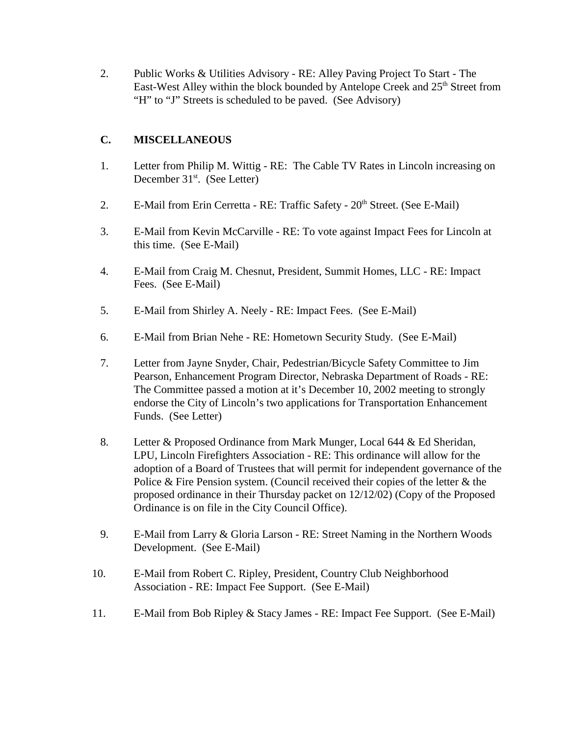2. Public Works & Utilities Advisory - RE: Alley Paving Project To Start - The East-West Alley within the block bounded by Antelope Creek and 25<sup>th</sup> Street from "H" to "J" Streets is scheduled to be paved. (See Advisory)

# **C. MISCELLANEOUS**

- 1. Letter from Philip M. Wittig RE: The Cable TV Rates in Lincoln increasing on December  $31<sup>st</sup>$ . (See Letter)
- 2. E-Mail from Erin Cerretta RE: Traffic Safety  $20<sup>th</sup>$  Street. (See E-Mail)
- 3. E-Mail from Kevin McCarville RE: To vote against Impact Fees for Lincoln at this time. (See E-Mail)
- 4. E-Mail from Craig M. Chesnut, President, Summit Homes, LLC RE: Impact Fees. (See E-Mail)
- 5. E-Mail from Shirley A. Neely RE: Impact Fees. (See E-Mail)
- 6. E-Mail from Brian Nehe RE: Hometown Security Study. (See E-Mail)
- 7. Letter from Jayne Snyder, Chair, Pedestrian/Bicycle Safety Committee to Jim Pearson, Enhancement Program Director, Nebraska Department of Roads - RE: The Committee passed a motion at it's December 10, 2002 meeting to strongly endorse the City of Lincoln's two applications for Transportation Enhancement Funds. (See Letter)
- 8. Letter & Proposed Ordinance from Mark Munger, Local 644 & Ed Sheridan, LPU, Lincoln Firefighters Association - RE: This ordinance will allow for the adoption of a Board of Trustees that will permit for independent governance of the Police & Fire Pension system. (Council received their copies of the letter & the proposed ordinance in their Thursday packet on 12/12/02) (Copy of the Proposed Ordinance is on file in the City Council Office).
- 9. E-Mail from Larry & Gloria Larson RE: Street Naming in the Northern Woods Development. (See E-Mail)
- 10. E-Mail from Robert C. Ripley, President, Country Club Neighborhood Association - RE: Impact Fee Support. (See E-Mail)
- 11. E-Mail from Bob Ripley & Stacy James RE: Impact Fee Support. (See E-Mail)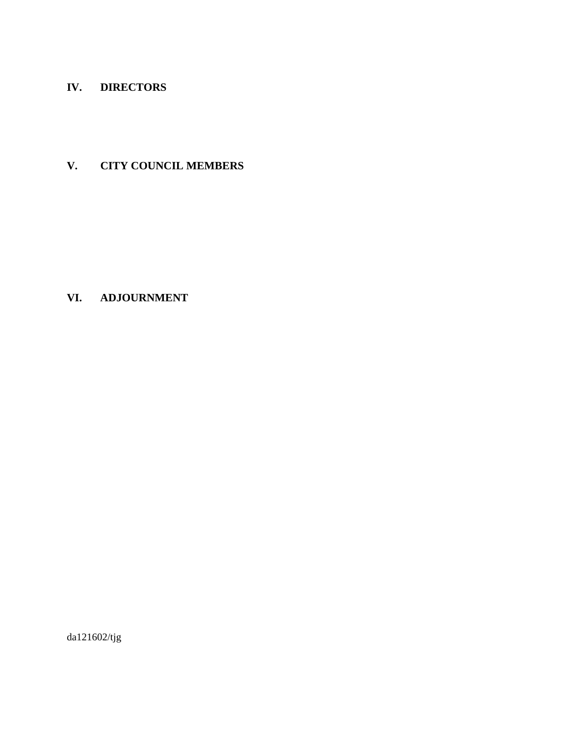# **IV. DIRECTORS**

# **V. CITY COUNCIL MEMBERS**

# **VI. ADJOURNMENT**

da121602/tjg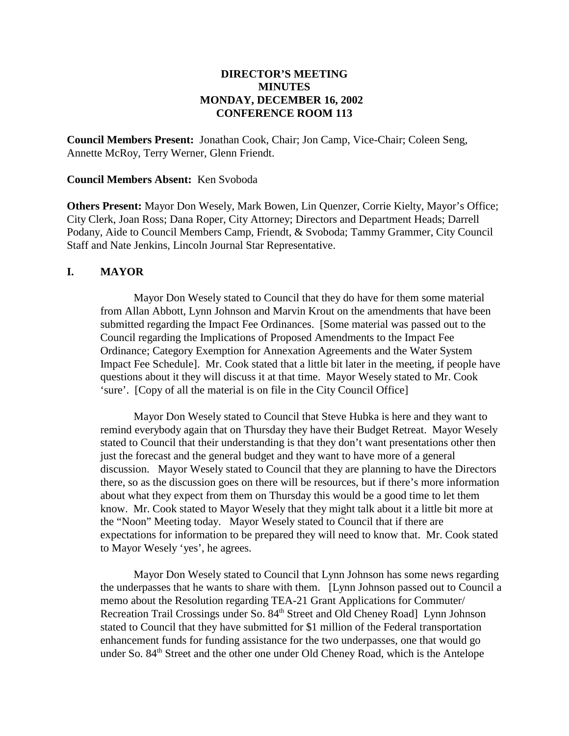## **DIRECTOR'S MEETING MINUTES MONDAY, DECEMBER 16, 2002 CONFERENCE ROOM 113**

**Council Members Present:** Jonathan Cook, Chair; Jon Camp, Vice-Chair; Coleen Seng, Annette McRoy, Terry Werner, Glenn Friendt.

#### **Council Members Absent:** Ken Svoboda

**Others Present:** Mayor Don Wesely, Mark Bowen, Lin Quenzer, Corrie Kielty, Mayor's Office; City Clerk, Joan Ross; Dana Roper, City Attorney; Directors and Department Heads; Darrell Podany, Aide to Council Members Camp, Friendt, & Svoboda; Tammy Grammer, City Council Staff and Nate Jenkins, Lincoln Journal Star Representative.

#### **I. MAYOR**

Mayor Don Wesely stated to Council that they do have for them some material from Allan Abbott, Lynn Johnson and Marvin Krout on the amendments that have been submitted regarding the Impact Fee Ordinances. [Some material was passed out to the Council regarding the Implications of Proposed Amendments to the Impact Fee Ordinance; Category Exemption for Annexation Agreements and the Water System Impact Fee Schedule]. Mr. Cook stated that a little bit later in the meeting, if people have questions about it they will discuss it at that time. Mayor Wesely stated to Mr. Cook 'sure'. [Copy of all the material is on file in the City Council Office]

Mayor Don Wesely stated to Council that Steve Hubka is here and they want to remind everybody again that on Thursday they have their Budget Retreat. Mayor Wesely stated to Council that their understanding is that they don't want presentations other then just the forecast and the general budget and they want to have more of a general discussion. Mayor Wesely stated to Council that they are planning to have the Directors there, so as the discussion goes on there will be resources, but if there's more information about what they expect from them on Thursday this would be a good time to let them know. Mr. Cook stated to Mayor Wesely that they might talk about it a little bit more at the "Noon" Meeting today. Mayor Wesely stated to Council that if there are expectations for information to be prepared they will need to know that. Mr. Cook stated to Mayor Wesely 'yes', he agrees.

Mayor Don Wesely stated to Council that Lynn Johnson has some news regarding the underpasses that he wants to share with them. [Lynn Johnson passed out to Council a memo about the Resolution regarding TEA-21 Grant Applications for Commuter/ Recreation Trail Crossings under So. 84<sup>th</sup> Street and Old Cheney Road] Lynn Johnson stated to Council that they have submitted for \$1 million of the Federal transportation enhancement funds for funding assistance for the two underpasses, one that would go under So. 84<sup>th</sup> Street and the other one under Old Cheney Road, which is the Antelope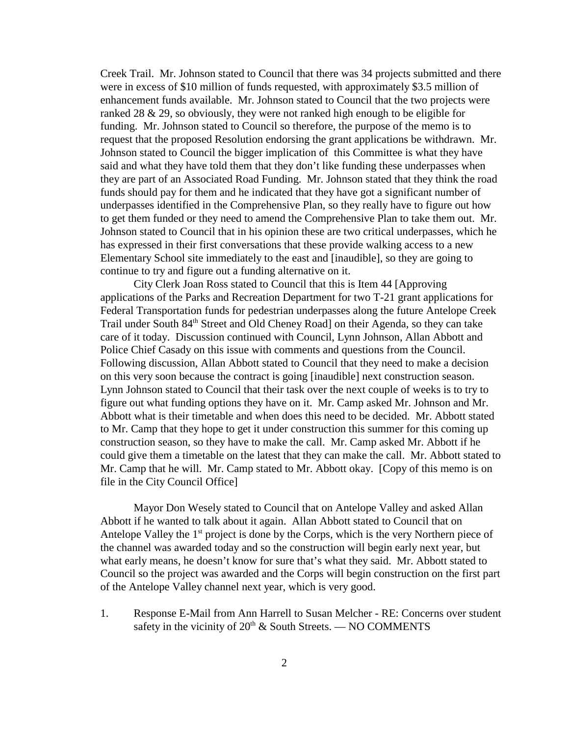Creek Trail. Mr. Johnson stated to Council that there was 34 projects submitted and there were in excess of \$10 million of funds requested, with approximately \$3.5 million of enhancement funds available. Mr. Johnson stated to Council that the two projects were ranked 28 & 29, so obviously, they were not ranked high enough to be eligible for funding. Mr. Johnson stated to Council so therefore, the purpose of the memo is to request that the proposed Resolution endorsing the grant applications be withdrawn. Mr. Johnson stated to Council the bigger implication of this Committee is what they have said and what they have told them that they don't like funding these underpasses when they are part of an Associated Road Funding. Mr. Johnson stated that they think the road funds should pay for them and he indicated that they have got a significant number of underpasses identified in the Comprehensive Plan, so they really have to figure out how to get them funded or they need to amend the Comprehensive Plan to take them out. Mr. Johnson stated to Council that in his opinion these are two critical underpasses, which he has expressed in their first conversations that these provide walking access to a new Elementary School site immediately to the east and [inaudible], so they are going to continue to try and figure out a funding alternative on it.

City Clerk Joan Ross stated to Council that this is Item 44 [Approving applications of the Parks and Recreation Department for two T-21 grant applications for Federal Transportation funds for pedestrian underpasses along the future Antelope Creek Trail under South 84<sup>th</sup> Street and Old Cheney Road] on their Agenda, so they can take care of it today. Discussion continued with Council, Lynn Johnson, Allan Abbott and Police Chief Casady on this issue with comments and questions from the Council. Following discussion, Allan Abbott stated to Council that they need to make a decision on this very soon because the contract is going [inaudible] next construction season. Lynn Johnson stated to Council that their task over the next couple of weeks is to try to figure out what funding options they have on it. Mr. Camp asked Mr. Johnson and Mr. Abbott what is their timetable and when does this need to be decided. Mr. Abbott stated to Mr. Camp that they hope to get it under construction this summer for this coming up construction season, so they have to make the call. Mr. Camp asked Mr. Abbott if he could give them a timetable on the latest that they can make the call. Mr. Abbott stated to Mr. Camp that he will. Mr. Camp stated to Mr. Abbott okay. [Copy of this memo is on file in the City Council Office]

Mayor Don Wesely stated to Council that on Antelope Valley and asked Allan Abbott if he wanted to talk about it again. Allan Abbott stated to Council that on Antelope Valley the  $1<sup>st</sup>$  project is done by the Corps, which is the very Northern piece of the channel was awarded today and so the construction will begin early next year, but what early means, he doesn't know for sure that's what they said. Mr. Abbott stated to Council so the project was awarded and the Corps will begin construction on the first part of the Antelope Valley channel next year, which is very good.

1. Response E-Mail from Ann Harrell to Susan Melcher - RE: Concerns over student safety in the vicinity of  $20<sup>th</sup>$  & South Streets. — NO COMMENTS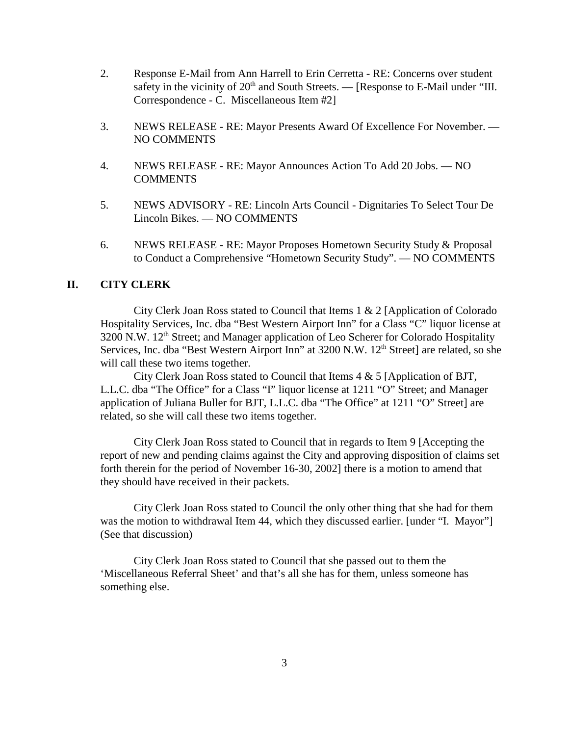- 2. Response E-Mail from Ann Harrell to Erin Cerretta RE: Concerns over student safety in the vicinity of  $20<sup>th</sup>$  and South Streets. — [Response to E-Mail under "III. Correspondence - C. Miscellaneous Item #2]
- 3. NEWS RELEASE RE: Mayor Presents Award Of Excellence For November. NO COMMENTS
- 4. NEWS RELEASE RE: Mayor Announces Action To Add 20 Jobs. NO **COMMENTS**
- 5. NEWS ADVISORY RE: Lincoln Arts Council Dignitaries To Select Tour De Lincoln Bikes. — NO COMMENTS
- 6. NEWS RELEASE RE: Mayor Proposes Hometown Security Study & Proposal to Conduct a Comprehensive "Hometown Security Study". — NO COMMENTS

## **II. CITY CLERK**

City Clerk Joan Ross stated to Council that Items 1 & 2 [Application of Colorado Hospitality Services, Inc. dba "Best Western Airport Inn" for a Class "C" liquor license at 3200 N.W. 12<sup>th</sup> Street; and Manager application of Leo Scherer for Colorado Hospitality Services, Inc. dba "Best Western Airport Inn" at 3200 N.W. 12<sup>th</sup> Street] are related, so she will call these two items together.

City Clerk Joan Ross stated to Council that Items 4 & 5 [Application of BJT, L.L.C. dba "The Office" for a Class "I" liquor license at 1211 "O" Street; and Manager application of Juliana Buller for BJT, L.L.C. dba "The Office" at 1211 "O" Street] are related, so she will call these two items together.

City Clerk Joan Ross stated to Council that in regards to Item 9 [Accepting the report of new and pending claims against the City and approving disposition of claims set forth therein for the period of November 16-30, 2002] there is a motion to amend that they should have received in their packets.

City Clerk Joan Ross stated to Council the only other thing that she had for them was the motion to withdrawal Item 44, which they discussed earlier. [under "I. Mayor"] (See that discussion)

City Clerk Joan Ross stated to Council that she passed out to them the 'Miscellaneous Referral Sheet' and that's all she has for them, unless someone has something else.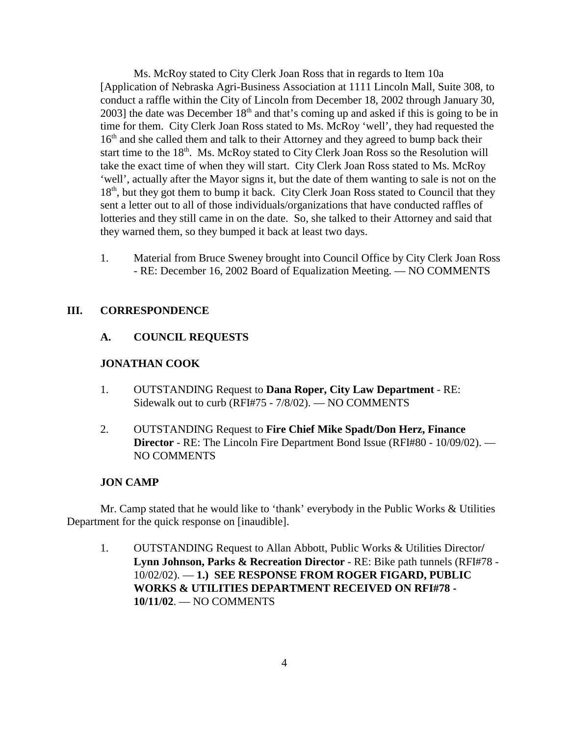Ms. McRoy stated to City Clerk Joan Ross that in regards to Item 10a [Application of Nebraska Agri-Business Association at 1111 Lincoln Mall, Suite 308, to conduct a raffle within the City of Lincoln from December 18, 2002 through January 30, 2003] the date was December  $18<sup>th</sup>$  and that's coming up and asked if this is going to be in time for them. City Clerk Joan Ross stated to Ms. McRoy 'well', they had requested the  $16<sup>th</sup>$  and she called them and talk to their Attorney and they agreed to bump back their start time to the 18<sup>th</sup>. Ms. McRoy stated to City Clerk Joan Ross so the Resolution will take the exact time of when they will start. City Clerk Joan Ross stated to Ms. McRoy 'well', actually after the Mayor signs it, but the date of them wanting to sale is not on the 18<sup>th</sup>, but they got them to bump it back. City Clerk Joan Ross stated to Council that they sent a letter out to all of those individuals/organizations that have conducted raffles of lotteries and they still came in on the date. So, she talked to their Attorney and said that they warned them, so they bumped it back at least two days.

1. Material from Bruce Sweney brought into Council Office by City Clerk Joan Ross - RE: December 16, 2002 Board of Equalization Meeting. — NO COMMENTS

#### **III. CORRESPONDENCE**

#### **A. COUNCIL REQUESTS**

#### **JONATHAN COOK**

- 1. OUTSTANDING Request to **Dana Roper, City Law Department** RE: Sidewalk out to curb (RFI#75 - 7/8/02). — NO COMMENTS
- 2. OUTSTANDING Request to **Fire Chief Mike Spadt/Don Herz, Finance Director** - RE: The Lincoln Fire Department Bond Issue (RFI#80 - 10/09/02). — NO COMMENTS

#### **JON CAMP**

Mr. Camp stated that he would like to 'thank' everybody in the Public Works & Utilities Department for the quick response on [inaudible].

1. OUTSTANDING Request to Allan Abbott, Public Works & Utilities Director**/ Lynn Johnson, Parks & Recreation Director** - RE: Bike path tunnels (RFI#78 - 10/02/02). — **1.) SEE RESPONSE FROM ROGER FIGARD, PUBLIC WORKS & UTILITIES DEPARTMENT RECEIVED ON RFI#78 - 10/11/02**. — NO COMMENTS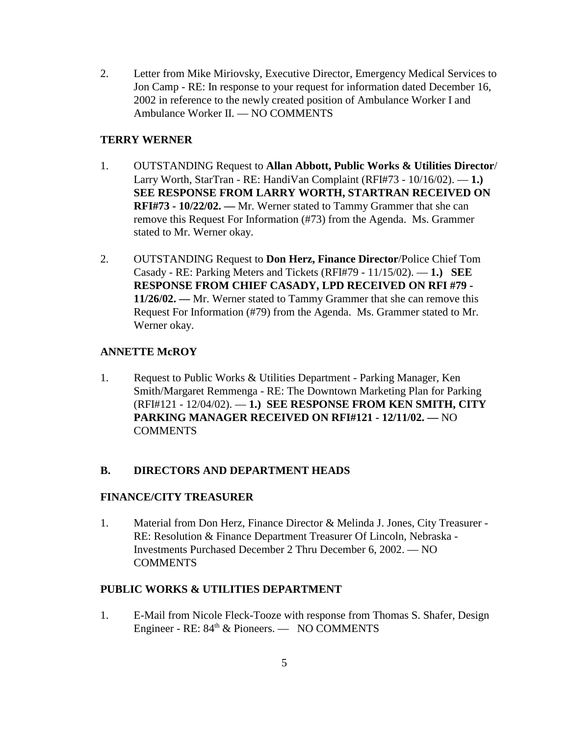2. Letter from Mike Miriovsky, Executive Director, Emergency Medical Services to Jon Camp - RE: In response to your request for information dated December 16, 2002 in reference to the newly created position of Ambulance Worker I and Ambulance Worker II. — NO COMMENTS

## **TERRY WERNER**

- 1. OUTSTANDING Request to **Allan Abbott, Public Works & Utilities Director**/ Larry Worth, StarTran - RE: HandiVan Complaint (RFI#73 - 10/16/02). — **1.) SEE RESPONSE FROM LARRY WORTH, STARTRAN RECEIVED ON RFI#73 - 10/22/02. —** Mr. Werner stated to Tammy Grammer that she can remove this Request For Information (#73) from the Agenda. Ms. Grammer stated to Mr. Werner okay.
- 2. OUTSTANDING Request to **Don Herz, Finance Director**/Police Chief Tom Casady - RE: Parking Meters and Tickets (RFI#79 - 11/15/02). — **1.) SEE RESPONSE FROM CHIEF CASADY, LPD RECEIVED ON RFI #79 - 11/26/02. —** Mr. Werner stated to Tammy Grammer that she can remove this Request For Information (#79) from the Agenda. Ms. Grammer stated to Mr. Werner okay.

## **ANNETTE McROY**

1. Request to Public Works & Utilities Department - Parking Manager, Ken Smith/Margaret Remmenga - RE: The Downtown Marketing Plan for Parking (RFI#121 - 12/04/02). — **1.) SEE RESPONSE FROM KEN SMITH, CITY PARKING MANAGER RECEIVED ON RFI#121 - 12/11/02. —** NO COMMENTS

# **B. DIRECTORS AND DEPARTMENT HEADS**

#### **FINANCE/CITY TREASURER**

1. Material from Don Herz, Finance Director & Melinda J. Jones, City Treasurer - RE: Resolution & Finance Department Treasurer Of Lincoln, Nebraska - Investments Purchased December 2 Thru December 6, 2002. — NO COMMENTS

#### **PUBLIC WORKS & UTILITIES DEPARTMENT**

1. E-Mail from Nicole Fleck-Tooze with response from Thomas S. Shafer, Design Engineer - RE: 84<sup>th</sup> & Pioneers. — NO COMMENTS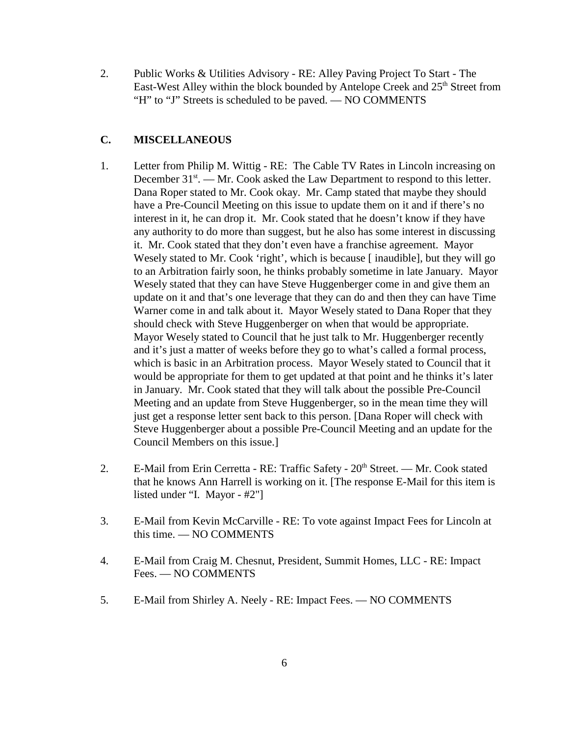2. Public Works & Utilities Advisory - RE: Alley Paving Project To Start - The East-West Alley within the block bounded by Antelope Creek and  $25<sup>th</sup>$  Street from "H" to "J" Streets is scheduled to be paved. — NO COMMENTS

### **C. MISCELLANEOUS**

- 1. Letter from Philip M. Wittig RE: The Cable TV Rates in Lincoln increasing on December  $31<sup>st</sup>$ . — Mr. Cook asked the Law Department to respond to this letter. Dana Roper stated to Mr. Cook okay. Mr. Camp stated that maybe they should have a Pre-Council Meeting on this issue to update them on it and if there's no interest in it, he can drop it. Mr. Cook stated that he doesn't know if they have any authority to do more than suggest, but he also has some interest in discussing it. Mr. Cook stated that they don't even have a franchise agreement. Mayor Wesely stated to Mr. Cook 'right', which is because [inaudible], but they will go to an Arbitration fairly soon, he thinks probably sometime in late January. Mayor Wesely stated that they can have Steve Huggenberger come in and give them an update on it and that's one leverage that they can do and then they can have Time Warner come in and talk about it. Mayor Wesely stated to Dana Roper that they should check with Steve Huggenberger on when that would be appropriate. Mayor Wesely stated to Council that he just talk to Mr. Huggenberger recently and it's just a matter of weeks before they go to what's called a formal process, which is basic in an Arbitration process. Mayor Wesely stated to Council that it would be appropriate for them to get updated at that point and he thinks it's later in January. Mr. Cook stated that they will talk about the possible Pre-Council Meeting and an update from Steve Huggenberger, so in the mean time they will just get a response letter sent back to this person. [Dana Roper will check with Steve Huggenberger about a possible Pre-Council Meeting and an update for the Council Members on this issue.]
- 2. E-Mail from Erin Cerretta RE: Traffic Safety  $20<sup>th</sup>$  Street. Mr. Cook stated that he knows Ann Harrell is working on it. [The response E-Mail for this item is listed under "I. Mayor - #2"]
- 3. E-Mail from Kevin McCarville RE: To vote against Impact Fees for Lincoln at this time. — NO COMMENTS
- 4. E-Mail from Craig M. Chesnut, President, Summit Homes, LLC RE: Impact Fees. — NO COMMENTS
- 5. E-Mail from Shirley A. Neely RE: Impact Fees. NO COMMENTS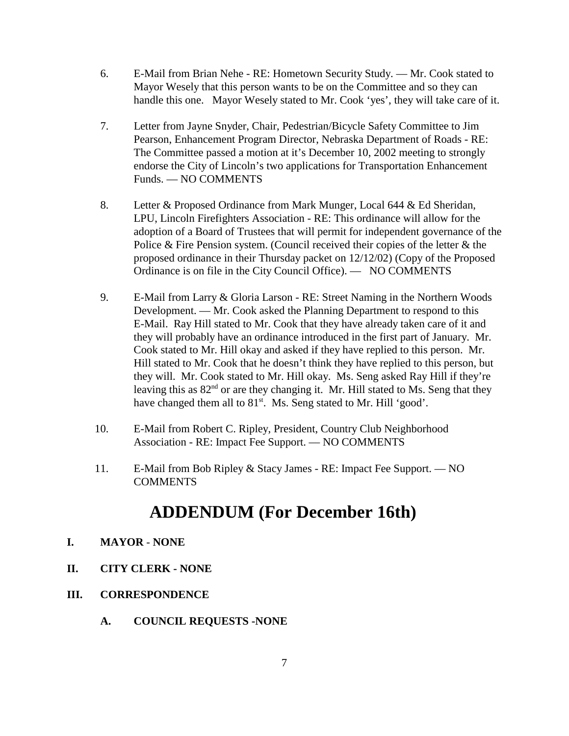- 6. E-Mail from Brian Nehe RE: Hometown Security Study. Mr. Cook stated to Mayor Wesely that this person wants to be on the Committee and so they can handle this one. Mayor Wesely stated to Mr. Cook 'yes', they will take care of it.
- 7. Letter from Jayne Snyder, Chair, Pedestrian/Bicycle Safety Committee to Jim Pearson, Enhancement Program Director, Nebraska Department of Roads - RE: The Committee passed a motion at it's December 10, 2002 meeting to strongly endorse the City of Lincoln's two applications for Transportation Enhancement Funds. — NO COMMENTS
- 8. Letter & Proposed Ordinance from Mark Munger, Local 644 & Ed Sheridan, LPU, Lincoln Firefighters Association - RE: This ordinance will allow for the adoption of a Board of Trustees that will permit for independent governance of the Police & Fire Pension system. (Council received their copies of the letter & the proposed ordinance in their Thursday packet on 12/12/02) (Copy of the Proposed Ordinance is on file in the City Council Office). — NO COMMENTS
- 9. E-Mail from Larry & Gloria Larson RE: Street Naming in the Northern Woods Development. — Mr. Cook asked the Planning Department to respond to this E-Mail. Ray Hill stated to Mr. Cook that they have already taken care of it and they will probably have an ordinance introduced in the first part of January. Mr. Cook stated to Mr. Hill okay and asked if they have replied to this person. Mr. Hill stated to Mr. Cook that he doesn't think they have replied to this person, but they will. Mr. Cook stated to Mr. Hill okay. Ms. Seng asked Ray Hill if they're leaving this as  $82<sup>nd</sup>$  or are they changing it. Mr. Hill stated to Ms. Seng that they have changed them all to 81<sup>st</sup>. Ms. Seng stated to Mr. Hill 'good'.
- 10. E-Mail from Robert C. Ripley, President, Country Club Neighborhood Association - RE: Impact Fee Support. — NO COMMENTS
- 11. E-Mail from Bob Ripley & Stacy James RE: Impact Fee Support. NO **COMMENTS**

# **ADDENDUM (For December 16th)**

- **I. MAYOR NONE**
- **II. CITY CLERK NONE**
- **III. CORRESPONDENCE**
	- **A. COUNCIL REQUESTS -NONE**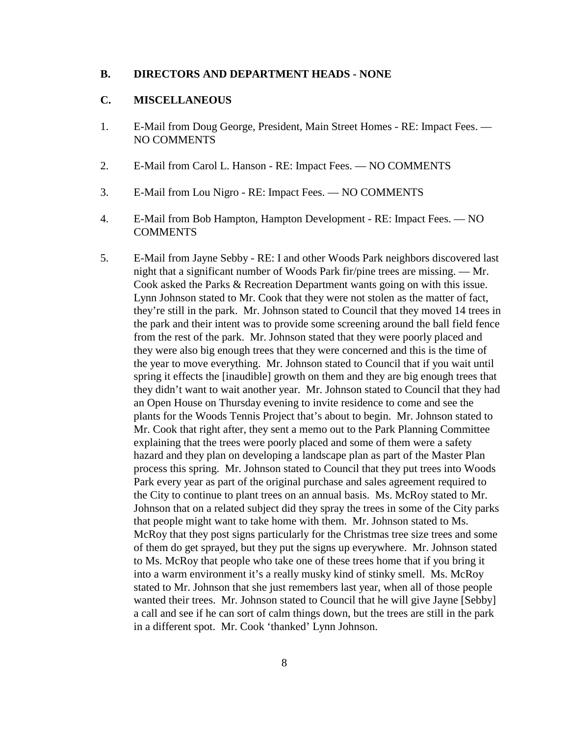#### **B. DIRECTORS AND DEPARTMENT HEADS - NONE**

#### **C. MISCELLANEOUS**

- 1. E-Mail from Doug George, President, Main Street Homes RE: Impact Fees. NO COMMENTS
- 2. E-Mail from Carol L. Hanson RE: Impact Fees. NO COMMENTS
- 3. E-Mail from Lou Nigro RE: Impact Fees. NO COMMENTS
- 4. E-Mail from Bob Hampton, Hampton Development RE: Impact Fees. NO **COMMENTS**
- 5. E-Mail from Jayne Sebby RE: I and other Woods Park neighbors discovered last night that a significant number of Woods Park fir/pine trees are missing. — Mr. Cook asked the Parks & Recreation Department wants going on with this issue. Lynn Johnson stated to Mr. Cook that they were not stolen as the matter of fact, they're still in the park. Mr. Johnson stated to Council that they moved 14 trees in the park and their intent was to provide some screening around the ball field fence from the rest of the park. Mr. Johnson stated that they were poorly placed and they were also big enough trees that they were concerned and this is the time of the year to move everything. Mr. Johnson stated to Council that if you wait until spring it effects the [inaudible] growth on them and they are big enough trees that they didn't want to wait another year. Mr. Johnson stated to Council that they had an Open House on Thursday evening to invite residence to come and see the plants for the Woods Tennis Project that's about to begin. Mr. Johnson stated to Mr. Cook that right after, they sent a memo out to the Park Planning Committee explaining that the trees were poorly placed and some of them were a safety hazard and they plan on developing a landscape plan as part of the Master Plan process this spring. Mr. Johnson stated to Council that they put trees into Woods Park every year as part of the original purchase and sales agreement required to the City to continue to plant trees on an annual basis. Ms. McRoy stated to Mr. Johnson that on a related subject did they spray the trees in some of the City parks that people might want to take home with them. Mr. Johnson stated to Ms. McRoy that they post signs particularly for the Christmas tree size trees and some of them do get sprayed, but they put the signs up everywhere. Mr. Johnson stated to Ms. McRoy that people who take one of these trees home that if you bring it into a warm environment it's a really musky kind of stinky smell. Ms. McRoy stated to Mr. Johnson that she just remembers last year, when all of those people wanted their trees. Mr. Johnson stated to Council that he will give Jayne [Sebby] a call and see if he can sort of calm things down, but the trees are still in the park in a different spot. Mr. Cook 'thanked' Lynn Johnson.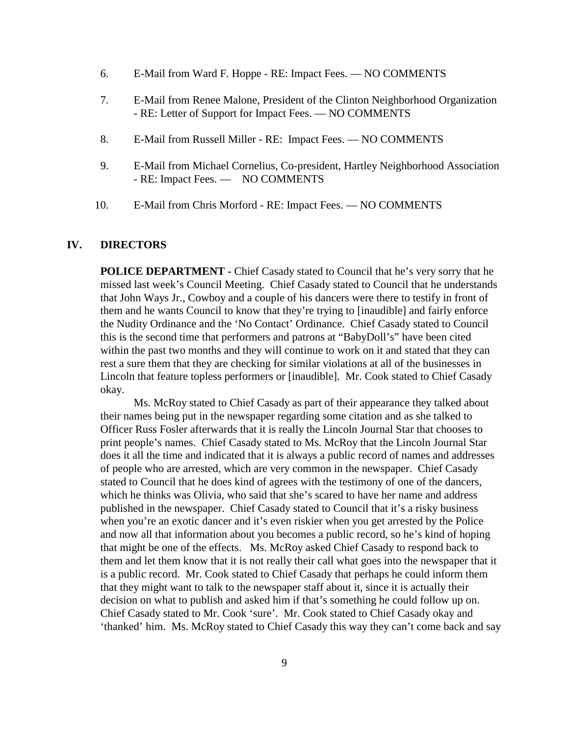- 6. E-Mail from Ward F. Hoppe RE: Impact Fees. NO COMMENTS
- 7. E-Mail from Renee Malone, President of the Clinton Neighborhood Organization - RE: Letter of Support for Impact Fees. — NO COMMENTS
- 8. E-Mail from Russell Miller RE: Impact Fees. NO COMMENTS
- 9. E-Mail from Michael Cornelius, Co-president, Hartley Neighborhood Association - RE: Impact Fees. — NO COMMENTS
- 10. E-Mail from Chris Morford RE: Impact Fees. NO COMMENTS

#### **IV. DIRECTORS**

**POLICE DEPARTMENT -** Chief Casady stated to Council that he's very sorry that he missed last week's Council Meeting. Chief Casady stated to Council that he understands that John Ways Jr., Cowboy and a couple of his dancers were there to testify in front of them and he wants Council to know that they're trying to [inaudible] and fairly enforce the Nudity Ordinance and the 'No Contact' Ordinance. Chief Casady stated to Council this is the second time that performers and patrons at "BabyDoll's" have been cited within the past two months and they will continue to work on it and stated that they can rest a sure them that they are checking for similar violations at all of the businesses in Lincoln that feature topless performers or [inaudible]. Mr. Cook stated to Chief Casady okay.

Ms. McRoy stated to Chief Casady as part of their appearance they talked about their names being put in the newspaper regarding some citation and as she talked to Officer Russ Fosler afterwards that it is really the Lincoln Journal Star that chooses to print people's names. Chief Casady stated to Ms. McRoy that the Lincoln Journal Star does it all the time and indicated that it is always a public record of names and addresses of people who are arrested, which are very common in the newspaper. Chief Casady stated to Council that he does kind of agrees with the testimony of one of the dancers, which he thinks was Olivia, who said that she's scared to have her name and address published in the newspaper. Chief Casady stated to Council that it's a risky business when you're an exotic dancer and it's even riskier when you get arrested by the Police and now all that information about you becomes a public record, so he's kind of hoping that might be one of the effects. Ms. McRoy asked Chief Casady to respond back to them and let them know that it is not really their call what goes into the newspaper that it is a public record. Mr. Cook stated to Chief Casady that perhaps he could inform them that they might want to talk to the newspaper staff about it, since it is actually their decision on what to publish and asked him if that's something he could follow up on. Chief Casady stated to Mr. Cook 'sure'. Mr. Cook stated to Chief Casady okay and 'thanked' him. Ms. McRoy stated to Chief Casady this way they can't come back and say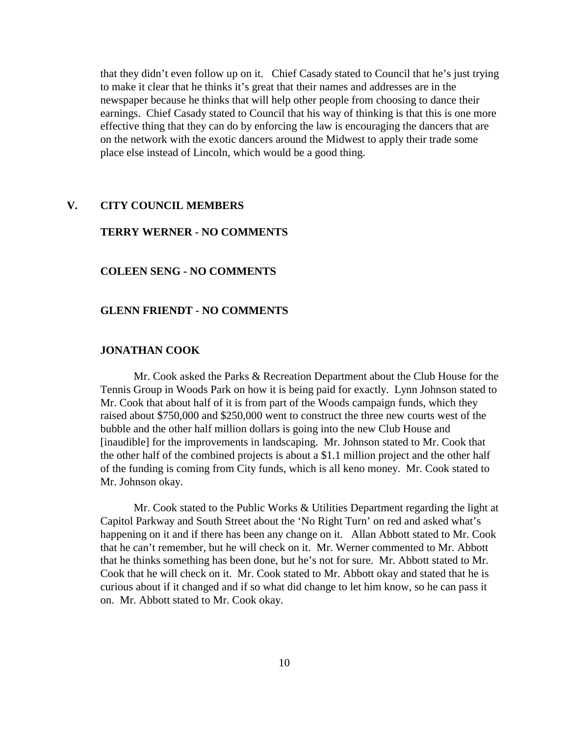that they didn't even follow up on it. Chief Casady stated to Council that he's just trying to make it clear that he thinks it's great that their names and addresses are in the newspaper because he thinks that will help other people from choosing to dance their earnings. Chief Casady stated to Council that his way of thinking is that this is one more effective thing that they can do by enforcing the law is encouraging the dancers that are on the network with the exotic dancers around the Midwest to apply their trade some place else instead of Lincoln, which would be a good thing.

#### **V. CITY COUNCIL MEMBERS**

#### **TERRY WERNER - NO COMMENTS**

#### **COLEEN SENG - NO COMMENTS**

#### **GLENN FRIENDT - NO COMMENTS**

#### **JONATHAN COOK**

Mr. Cook asked the Parks & Recreation Department about the Club House for the Tennis Group in Woods Park on how it is being paid for exactly. Lynn Johnson stated to Mr. Cook that about half of it is from part of the Woods campaign funds, which they raised about \$750,000 and \$250,000 went to construct the three new courts west of the bubble and the other half million dollars is going into the new Club House and [inaudible] for the improvements in landscaping. Mr. Johnson stated to Mr. Cook that the other half of the combined projects is about a \$1.1 million project and the other half of the funding is coming from City funds, which is all keno money. Mr. Cook stated to Mr. Johnson okay.

Mr. Cook stated to the Public Works & Utilities Department regarding the light at Capitol Parkway and South Street about the 'No Right Turn' on red and asked what's happening on it and if there has been any change on it. Allan Abbott stated to Mr. Cook that he can't remember, but he will check on it. Mr. Werner commented to Mr. Abbott that he thinks something has been done, but he's not for sure. Mr. Abbott stated to Mr. Cook that he will check on it. Mr. Cook stated to Mr. Abbott okay and stated that he is curious about if it changed and if so what did change to let him know, so he can pass it on. Mr. Abbott stated to Mr. Cook okay.